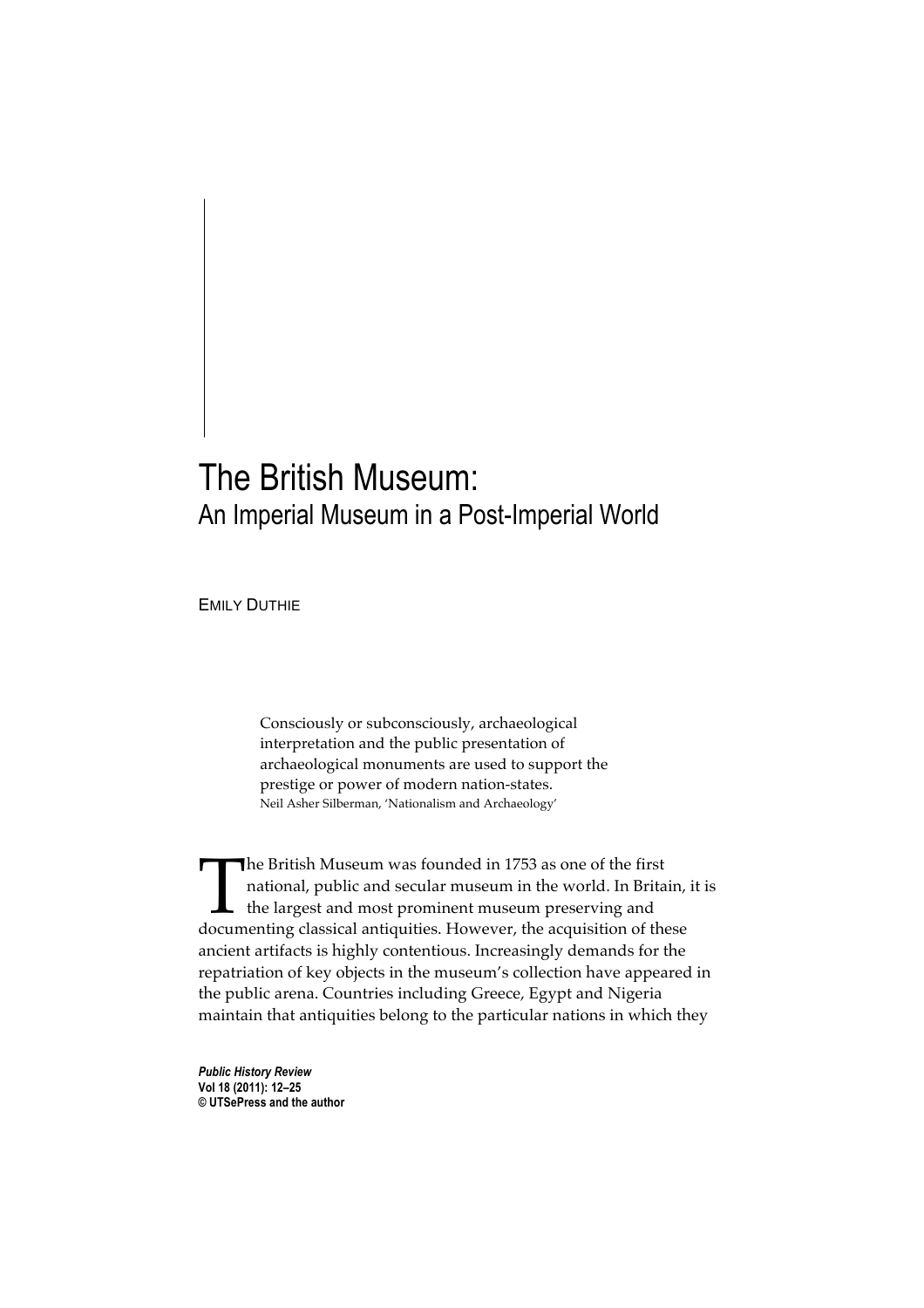## The British Museum: An Imperial Museum in a Post-Imperial World

EMILY DUTHIE

Consciously or subconsciously, archaeological interpretation and the public presentation of archaeological monuments are used to support the prestige or power of modern nation-states. Neil Asher Silberman, 'Nationalism and Archaeology'

The British Museum was founded in 1753 as one of the first national, public and secular museum in the world. In Britain, it is the largest and most prominent museum preserving and The British Museum was founded in 1753 as one of the first national, public and secular museum in the world. In Britain, the largest and most prominent museum preserving and documenting classical antiquities. However, the ancient artifacts is highly contentious. Increasingly demands for the repatriation of key objects in the museum's collection have appeared in the public arena. Countries including Greece, Egypt and Nigeria maintain that antiquities belong to the particular nations in which they

*Public History Review* **Vol 18 (2011): 12–25 © UTSePress and the author**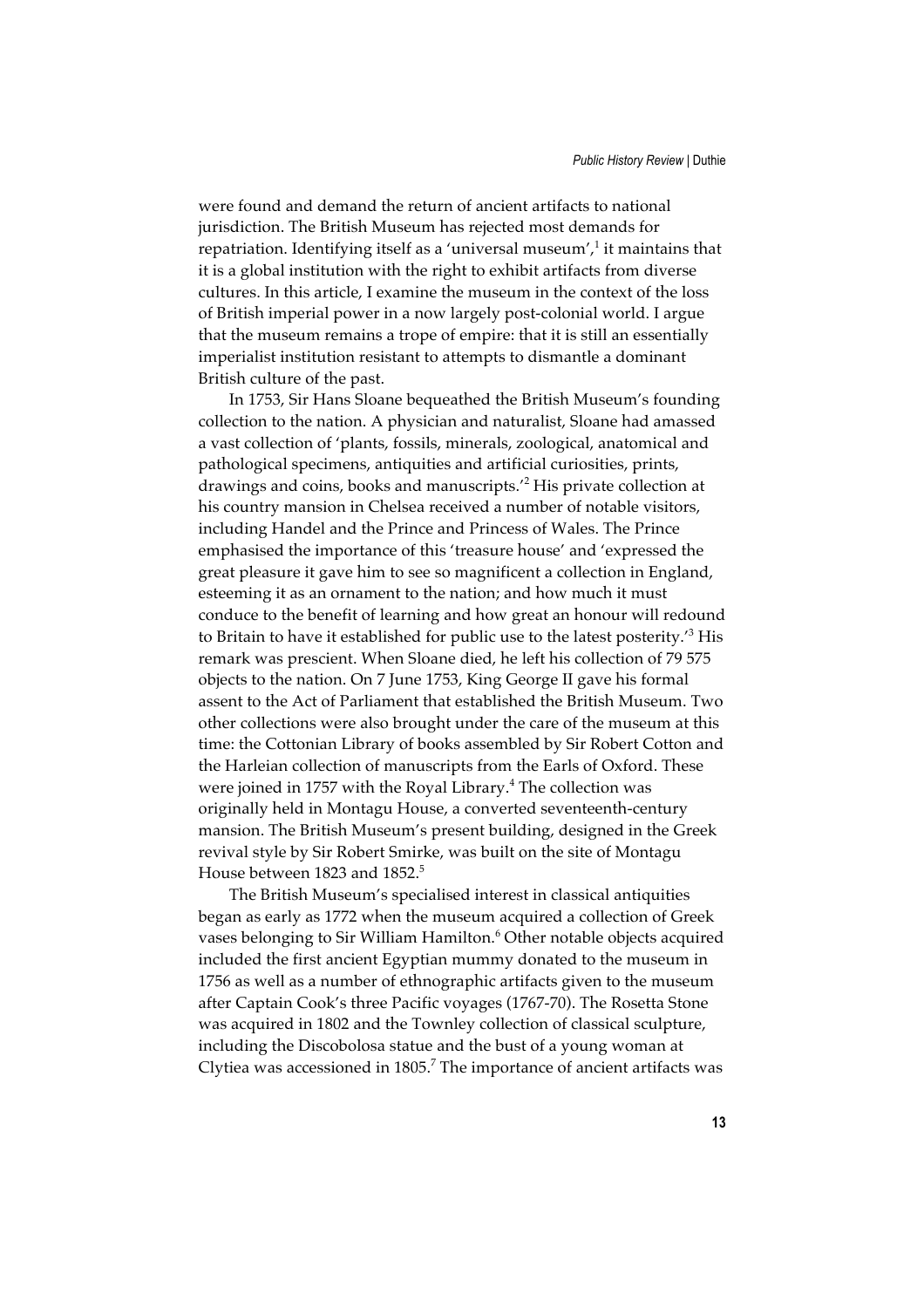were found and demand the return of ancient artifacts to national jurisdiction. The British Museum has rejected most demands for repatriation. Identifying itself as a 'universal museum',<sup>1</sup> it maintains that it is a global institution with the right to exhibit artifacts from diverse cultures. In this article, I examine the museum in the context of the loss of British imperial power in a now largely post-colonial world. I argue that the museum remains a trope of empire: that it is still an essentially imperialist institution resistant to attempts to dismantle a dominant British culture of the past.

In 1753, Sir Hans Sloane bequeathed the British Museum's founding collection to the nation. A physician and naturalist, Sloane had amassed a vast collection of 'plants, fossils, minerals, zoological, anatomical and pathological specimens, antiquities and artificial curiosities, prints, drawings and coins, books and manuscripts.'<sup>2</sup> His private collection at his country mansion in Chelsea received a number of notable visitors, including Handel and the Prince and Princess of Wales. The Prince emphasised the importance of this 'treasure house' and 'expressed the great pleasure it gave him to see so magnificent a collection in England, esteeming it as an ornament to the nation; and how much it must conduce to the benefit of learning and how great an honour will redound to Britain to have it established for public use to the latest posterity.<sup>3</sup> His remark was prescient. When Sloane died, he left his collection of 79 575 objects to the nation. On 7 June 1753, King George II gave his formal assent to the Act of Parliament that established the British Museum. Two other collections were also brought under the care of the museum at this time: the Cottonian Library of books assembled by Sir Robert Cotton and the Harleian collection of manuscripts from the Earls of Oxford. These were joined in 1757 with the Royal Library.<sup>4</sup> The collection was originally held in Montagu House, a converted seventeenth-century mansion. The British Museum's present building, designed in the Greek revival style by Sir Robert Smirke, was built on the site of Montagu House between 1823 and 1852.<sup>5</sup>

The British Museum's specialised interest in classical antiquities began as early as 1772 when the museum acquired a collection of Greek vases belonging to Sir William Hamilton.<sup>6</sup> Other notable objects acquired included the first ancient Egyptian mummy donated to the museum in 1756 as well as a number of ethnographic artifacts given to the museum after Captain Cook's three Pacific voyages (1767-70). The Rosetta Stone was acquired in 1802 and the Townley collection of classical sculpture, including the Discobolosa statue and the bust of a young woman at Clytiea was accessioned in  $1805$ .<sup>7</sup> The importance of ancient artifacts was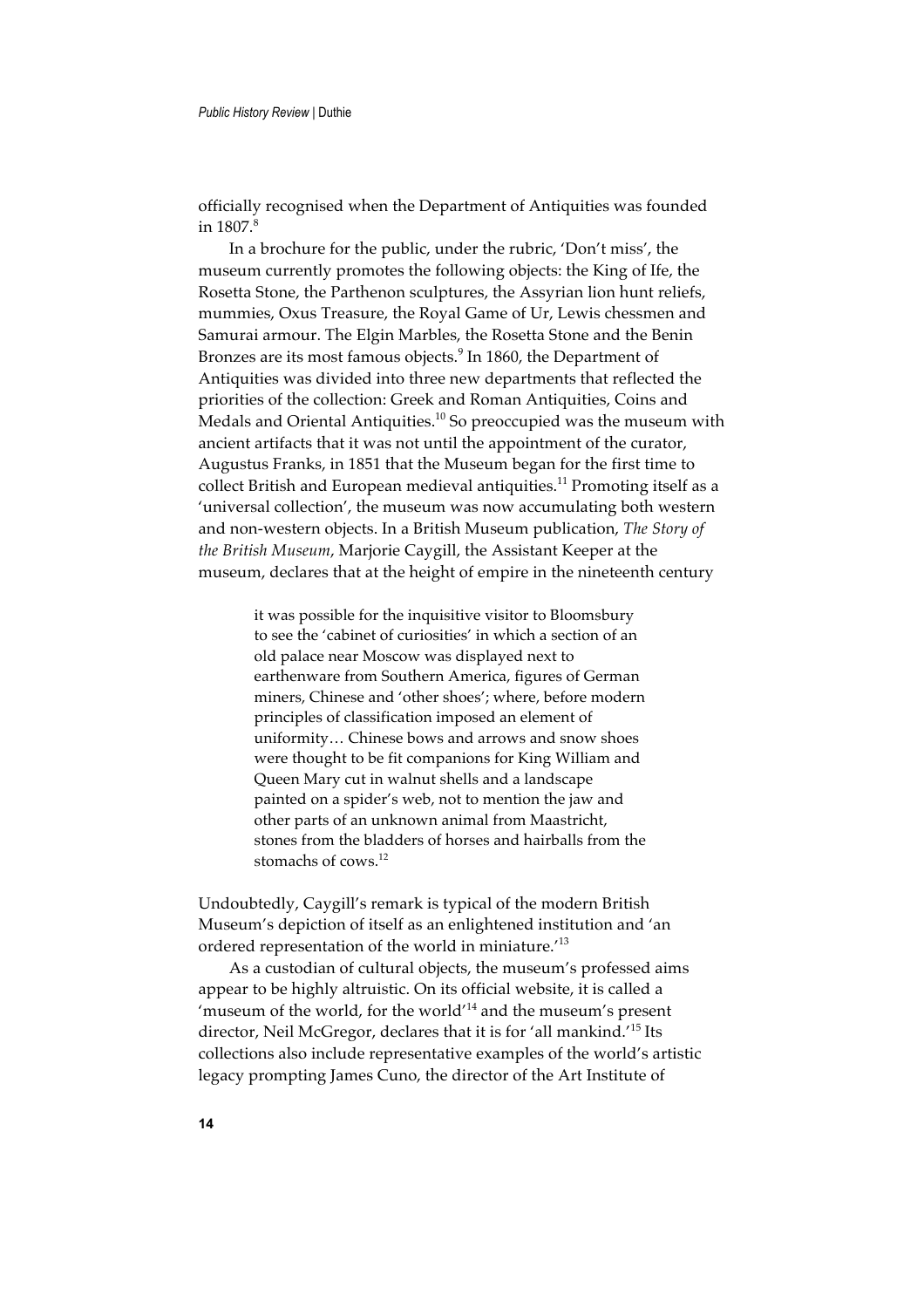officially recognised when the Department of Antiquities was founded in  $1807$ .<sup>8</sup>

In a brochure for the public, under the rubric, 'Don't miss', the museum currently promotes the following objects: the King of Ife, the Rosetta Stone, the Parthenon sculptures, the Assyrian lion hunt reliefs, mummies, Oxus Treasure, the Royal Game of Ur, Lewis chessmen and Samurai armour. The Elgin Marbles, the Rosetta Stone and the Benin Bronzes are its most famous objects.<sup>9</sup> In 1860, the Department of Antiquities was divided into three new departments that reflected the priorities of the collection: Greek and Roman Antiquities, Coins and Medals and Oriental Antiquities.<sup>10</sup> So preoccupied was the museum with ancient artifacts that it was not until the appointment of the curator, Augustus Franks, in 1851 that the Museum began for the first time to collect British and European medieval antiquities.<sup>11</sup> Promoting itself as a 'universal collection', the museum was now accumulating both western and non-western objects. In a British Museum publication, *The Story of the British Museum*, Marjorie Caygill, the Assistant Keeper at the museum, declares that at the height of empire in the nineteenth century

> it was possible for the inquisitive visitor to Bloomsbury to see the 'cabinet of curiosities' in which a section of an old palace near Moscow was displayed next to earthenware from Southern America, figures of German miners, Chinese and 'other shoes'; where, before modern principles of classification imposed an element of uniformity… Chinese bows and arrows and snow shoes were thought to be fit companions for King William and Queen Mary cut in walnut shells and a landscape painted on a spider's web, not to mention the jaw and other parts of an unknown animal from Maastricht, stones from the bladders of horses and hairballs from the stomachs of cows.<sup>12</sup>

Undoubtedly, Caygill's remark is typical of the modern British Museum's depiction of itself as an enlightened institution and 'an ordered representation of the world in miniature.'13

As a custodian of cultural objects, the museum's professed aims appear to be highly altruistic. On its official website, it is called a 'museum of the world, for the world'14 and the museum's present director, Neil McGregor, declares that it is for 'all mankind.'15 Its collections also include representative examples of the world's artistic legacy prompting James Cuno, the director of the Art Institute of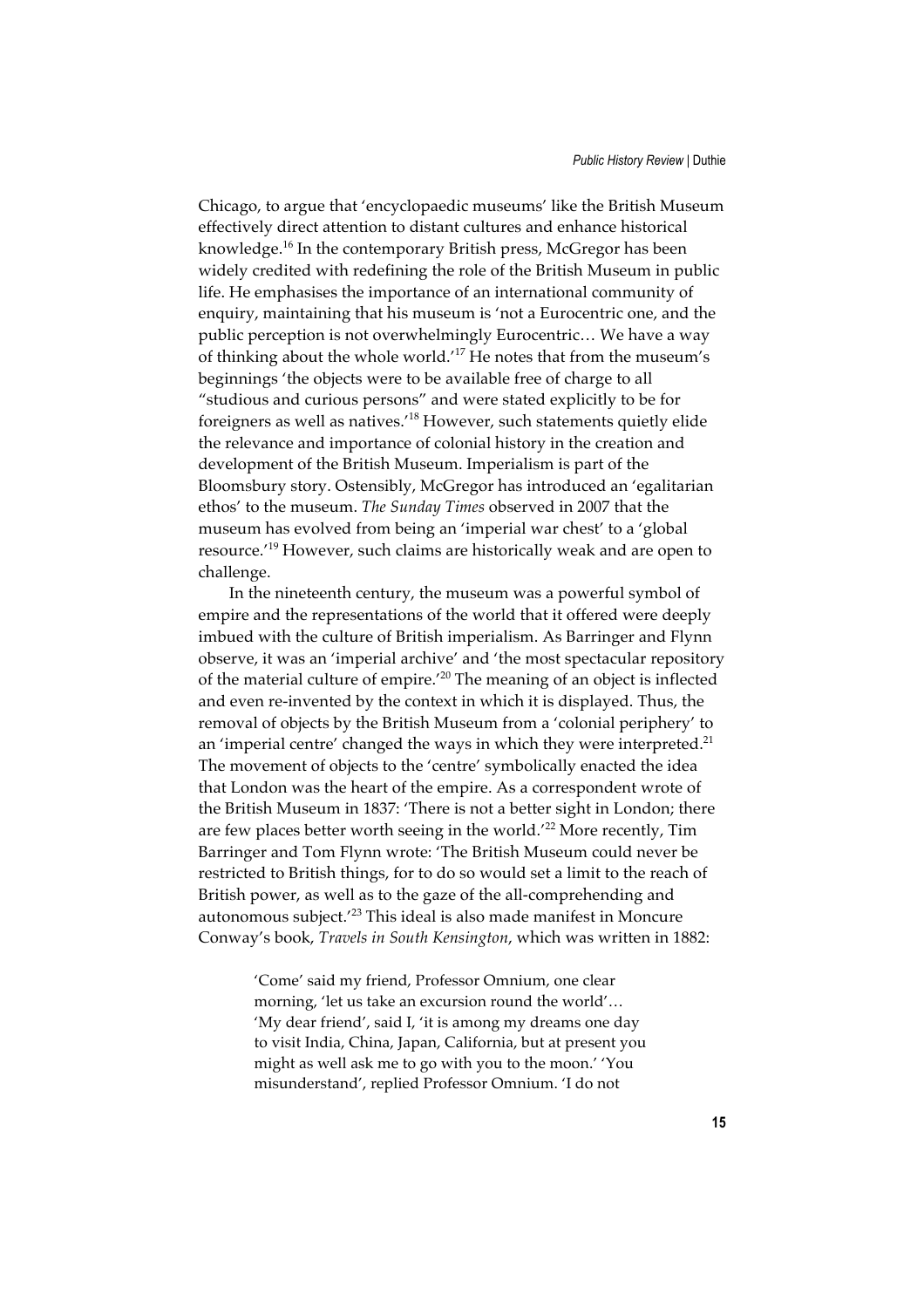Chicago, to argue that 'encyclopaedic museums' like the British Museum effectively direct attention to distant cultures and enhance historical knowledge.16 In the contemporary British press, McGregor has been widely credited with redefining the role of the British Museum in public life. He emphasises the importance of an international community of enquiry, maintaining that his museum is 'not a Eurocentric one, and the public perception is not overwhelmingly Eurocentric… We have a way of thinking about the whole world.'17 He notes that from the museum's beginnings 'the objects were to be available free of charge to all "studious and curious persons" and were stated explicitly to be for foreigners as well as natives.'18 However, such statements quietly elide the relevance and importance of colonial history in the creation and development of the British Museum. Imperialism is part of the Bloomsbury story. Ostensibly, McGregor has introduced an 'egalitarian ethos' to the museum. *The Sunday Times* observed in 2007 that the museum has evolved from being an 'imperial war chest' to a 'global resource.'19 However, such claims are historically weak and are open to challenge.

In the nineteenth century, the museum was a powerful symbol of empire and the representations of the world that it offered were deeply imbued with the culture of British imperialism. As Barringer and Flynn observe, it was an 'imperial archive' and 'the most spectacular repository of the material culture of empire.'20 The meaning of an object is inflected and even re-invented by the context in which it is displayed. Thus, the removal of objects by the British Museum from a 'colonial periphery' to an 'imperial centre' changed the ways in which they were interpreted.<sup>21</sup> The movement of objects to the 'centre' symbolically enacted the idea that London was the heart of the empire. As a correspondent wrote of the British Museum in 1837: 'There is not a better sight in London; there are few places better worth seeing in the world.'<sup>22</sup> More recently, Tim Barringer and Tom Flynn wrote: 'The British Museum could never be restricted to British things, for to do so would set a limit to the reach of British power, as well as to the gaze of the all-comprehending and autonomous subject.'23 This ideal is also made manifest in Moncure Conway's book, *Travels in South Kensington*, which was written in 1882:

> 'Come' said my friend, Professor Omnium, one clear morning, 'let us take an excursion round the world'… 'My dear friend', said I, 'it is among my dreams one day to visit India, China, Japan, California, but at present you might as well ask me to go with you to the moon.' 'You misunderstand', replied Professor Omnium. 'I do not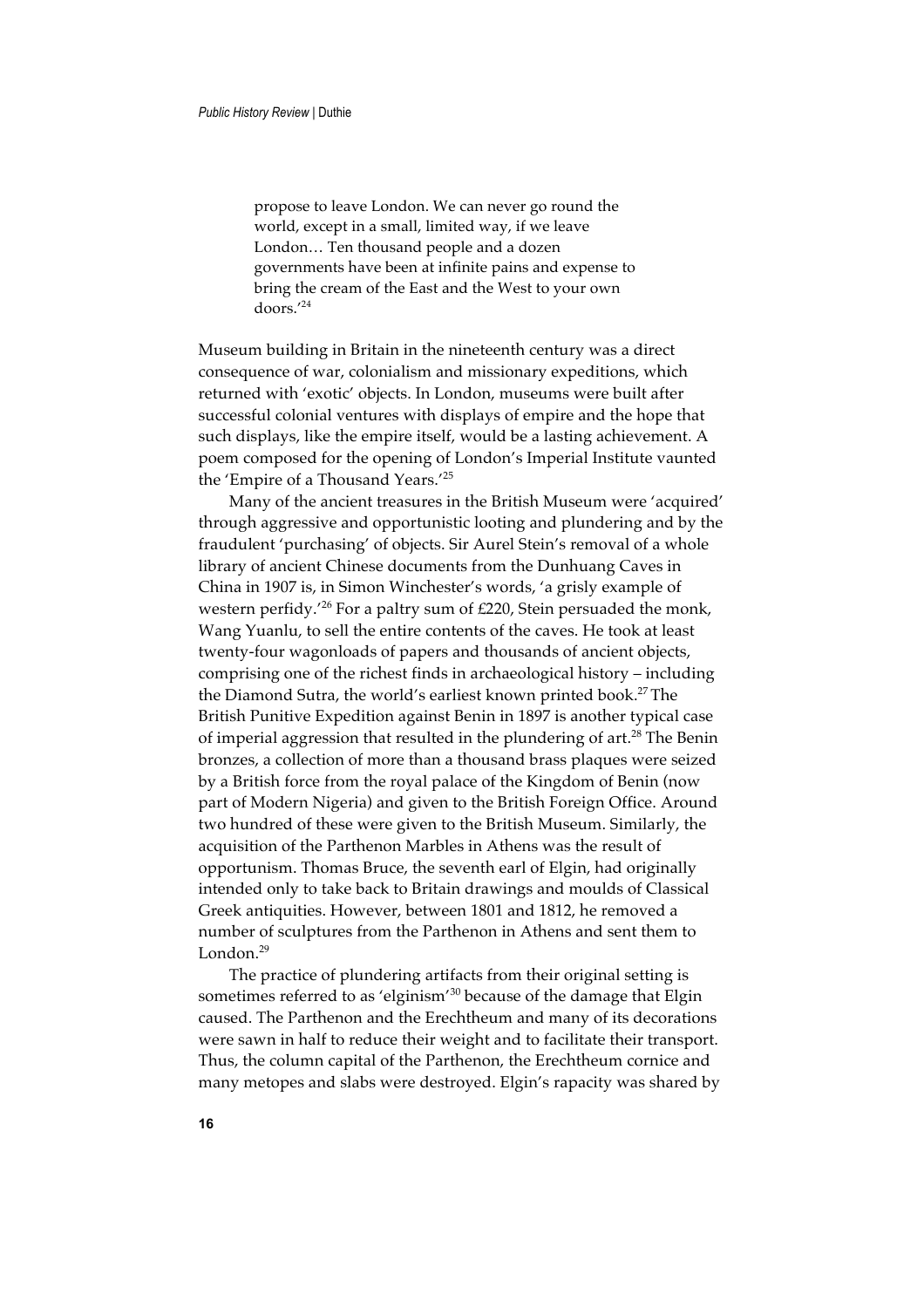propose to leave London. We can never go round the world, except in a small, limited way, if we leave London… Ten thousand people and a dozen governments have been at infinite pains and expense to bring the cream of the East and the West to your own doors.'<sup>24</sup>

Museum building in Britain in the nineteenth century was a direct consequence of war, colonialism and missionary expeditions, which returned with 'exotic' objects. In London, museums were built after successful colonial ventures with displays of empire and the hope that such displays, like the empire itself, would be a lasting achievement. A poem composed for the opening of London's Imperial Institute vaunted the 'Empire of a Thousand Years.'<sup>25</sup>

Many of the ancient treasures in the British Museum were 'acquired' through aggressive and opportunistic looting and plundering and by the fraudulent 'purchasing' of objects. Sir Aurel Stein's removal of a whole library of ancient Chinese documents from the Dunhuang Caves in China in 1907 is, in Simon Winchester's words, 'a grisly example of western perfidy.'26 For a paltry sum of £220, Stein persuaded the monk, Wang Yuanlu, to sell the entire contents of the caves. He took at least twenty-four wagonloads of papers and thousands of ancient objects, comprising one of the richest finds in archaeological history – including the Diamond Sutra, the world's earliest known printed book.<sup>27</sup> The British Punitive Expedition against Benin in 1897 is another typical case of imperial aggression that resulted in the plundering of art.<sup>28</sup> The Benin bronzes, a collection of more than a thousand brass plaques were seized by a British force from the royal palace of the Kingdom of Benin (now part of Modern Nigeria) and given to the British Foreign Office. Around two hundred of these were given to the British Museum. Similarly, the acquisition of the Parthenon Marbles in Athens was the result of opportunism. Thomas Bruce, the seventh earl of Elgin, had originally intended only to take back to Britain drawings and moulds of Classical Greek antiquities. However, between 1801 and 1812, he removed a number of sculptures from the Parthenon in Athens and sent them to London.<sup>29</sup>

The practice of plundering artifacts from their original setting is sometimes referred to as 'elginism'<sup>30</sup> because of the damage that Elgin caused. The Parthenon and the Erechtheum and many of its decorations were sawn in half to reduce their weight and to facilitate their transport. Thus, the column capital of the Parthenon, the Erechtheum cornice and many metopes and slabs were destroyed. Elgin's rapacity was shared by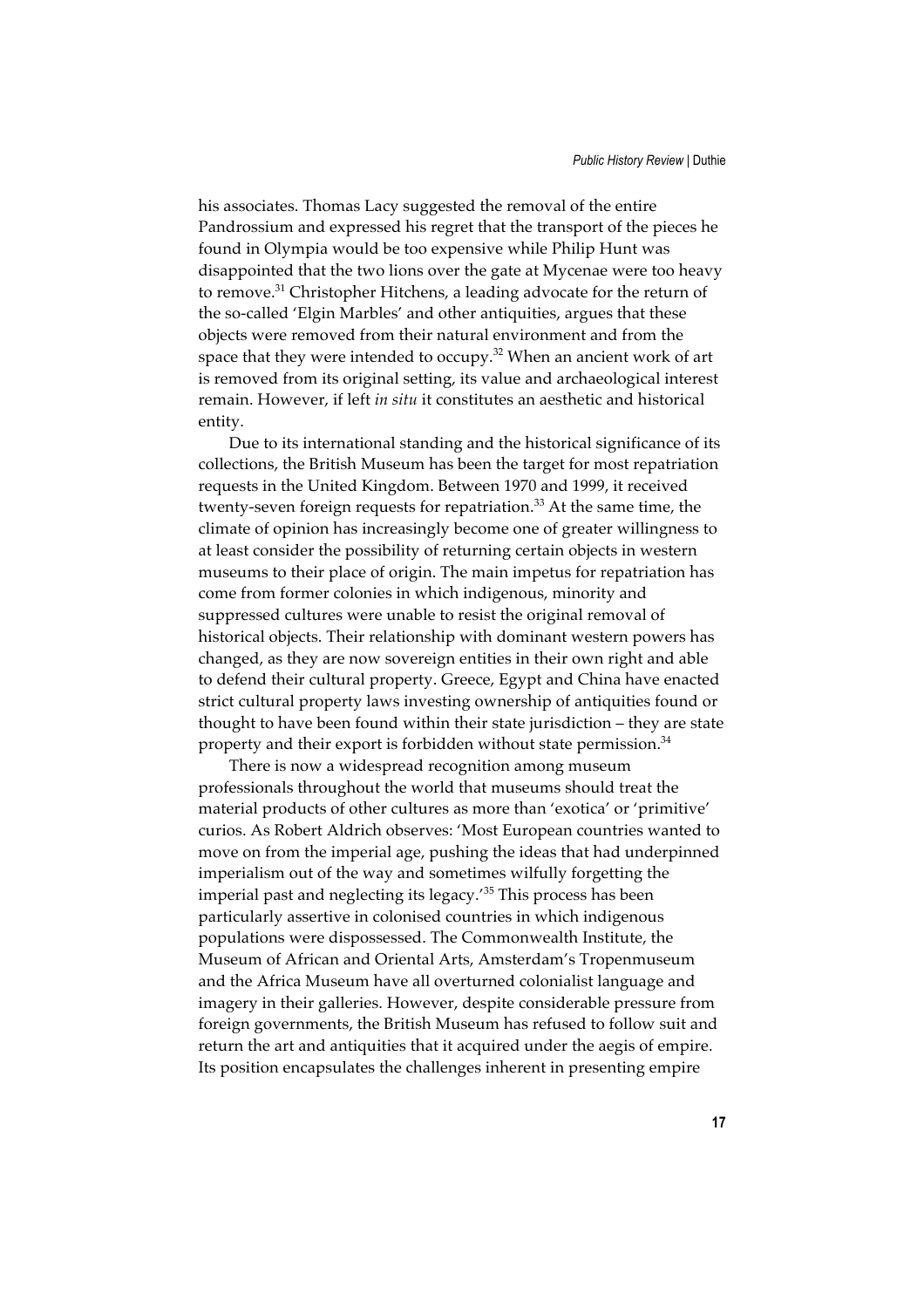his associates. Thomas Lacy suggested the removal of the entire Pandrossium and expressed his regret that the transport of the pieces he found in Olympia would be too expensive while Philip Hunt was disappointed that the two lions over the gate at Mycenae were too heavy to remove.31 Christopher Hitchens, a leading advocate for the return of the so-called 'Elgin Marbles' and other antiquities, argues that these objects were removed from their natural environment and from the space that they were intended to occupy.<sup>32</sup> When an ancient work of art is removed from its original setting, its value and archaeological interest remain. However, if left *in situ* it constitutes an aesthetic and historical entity.

Due to its international standing and the historical significance of its collections, the British Museum has been the target for most repatriation requests in the United Kingdom. Between 1970 and 1999, it received twenty-seven foreign requests for repatriation.<sup>33</sup> At the same time, the climate of opinion has increasingly become one of greater willingness to at least consider the possibility of returning certain objects in western museums to their place of origin. The main impetus for repatriation has come from former colonies in which indigenous, minority and suppressed cultures were unable to resist the original removal of historical objects. Their relationship with dominant western powers has changed, as they are now sovereign entities in their own right and able to defend their cultural property. Greece, Egypt and China have enacted strict cultural property laws investing ownership of antiquities found or thought to have been found within their state jurisdiction – they are state property and their export is forbidden without state permission.<sup>34</sup>

There is now a widespread recognition among museum professionals throughout the world that museums should treat the material products of other cultures as more than 'exotica' or 'primitive' curios. As Robert Aldrich observes: 'Most European countries wanted to move on from the imperial age, pushing the ideas that had underpinned imperialism out of the way and sometimes wilfully forgetting the imperial past and neglecting its legacy.'35 This process has been particularly assertive in colonised countries in which indigenous populations were dispossessed. The Commonwealth Institute, the Museum of African and Oriental Arts, Amsterdam's Tropenmuseum and the Africa Museum have all overturned colonialist language and imagery in their galleries. However, despite considerable pressure from foreign governments, the British Museum has refused to follow suit and return the art and antiquities that it acquired under the aegis of empire. Its position encapsulates the challenges inherent in presenting empire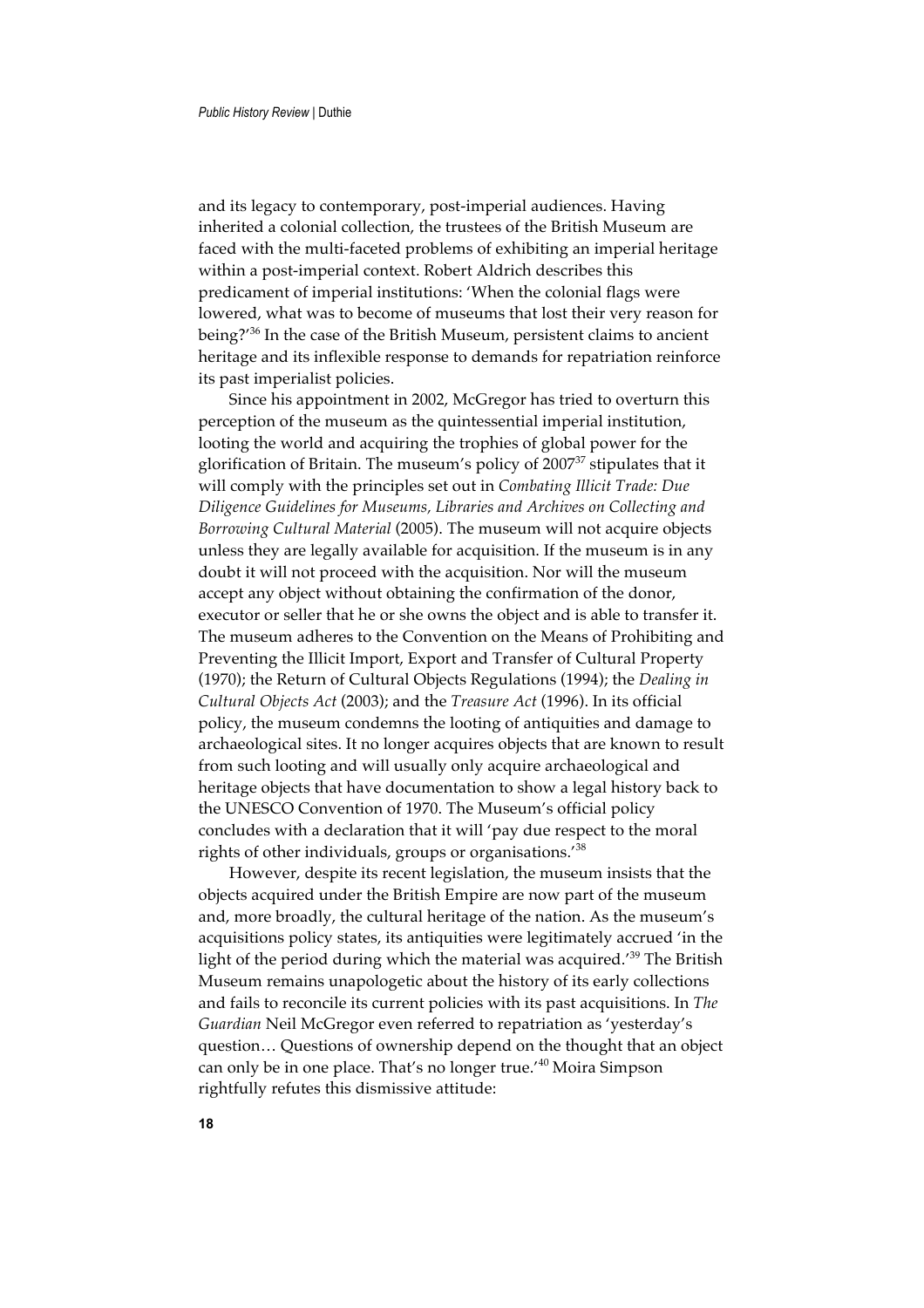and its legacy to contemporary, post-imperial audiences. Having inherited a colonial collection, the trustees of the British Museum are faced with the multi-faceted problems of exhibiting an imperial heritage within a post-imperial context. Robert Aldrich describes this predicament of imperial institutions: 'When the colonial flags were lowered, what was to become of museums that lost their very reason for being?'36 In the case of the British Museum, persistent claims to ancient heritage and its inflexible response to demands for repatriation reinforce its past imperialist policies.

Since his appointment in 2002, McGregor has tried to overturn this perception of the museum as the quintessential imperial institution, looting the world and acquiring the trophies of global power for the glorification of Britain. The museum's policy of 2007<sup>37</sup> stipulates that it will comply with the principles set out in *Combating Illicit Trade: Due Diligence Guidelines for Museums, Libraries and Archives on Collecting and Borrowing Cultural Material* (2005). The museum will not acquire objects unless they are legally available for acquisition. If the museum is in any doubt it will not proceed with the acquisition. Nor will the museum accept any object without obtaining the confirmation of the donor, executor or seller that he or she owns the object and is able to transfer it. The museum adheres to the Convention on the Means of Prohibiting and Preventing the Illicit Import, Export and Transfer of Cultural Property (1970); the Return of Cultural Objects Regulations (1994); the *Dealing in Cultural Objects Act* (2003); and the *Treasure Act* (1996). In its official policy, the museum condemns the looting of antiquities and damage to archaeological sites. It no longer acquires objects that are known to result from such looting and will usually only acquire archaeological and heritage objects that have documentation to show a legal history back to the UNESCO Convention of 1970. The Museum's official policy concludes with a declaration that it will 'pay due respect to the moral rights of other individuals, groups or organisations.'<sup>38</sup>

However, despite its recent legislation, the museum insists that the objects acquired under the British Empire are now part of the museum and, more broadly, the cultural heritage of the nation. As the museum's acquisitions policy states, its antiquities were legitimately accrued 'in the light of the period during which the material was acquired.<sup>'39</sup> The British Museum remains unapologetic about the history of its early collections and fails to reconcile its current policies with its past acquisitions. In *The Guardian* Neil McGregor even referred to repatriation as 'yesterday's question… Questions of ownership depend on the thought that an object can only be in one place. That's no longer true.'40 Moira Simpson rightfully refutes this dismissive attitude: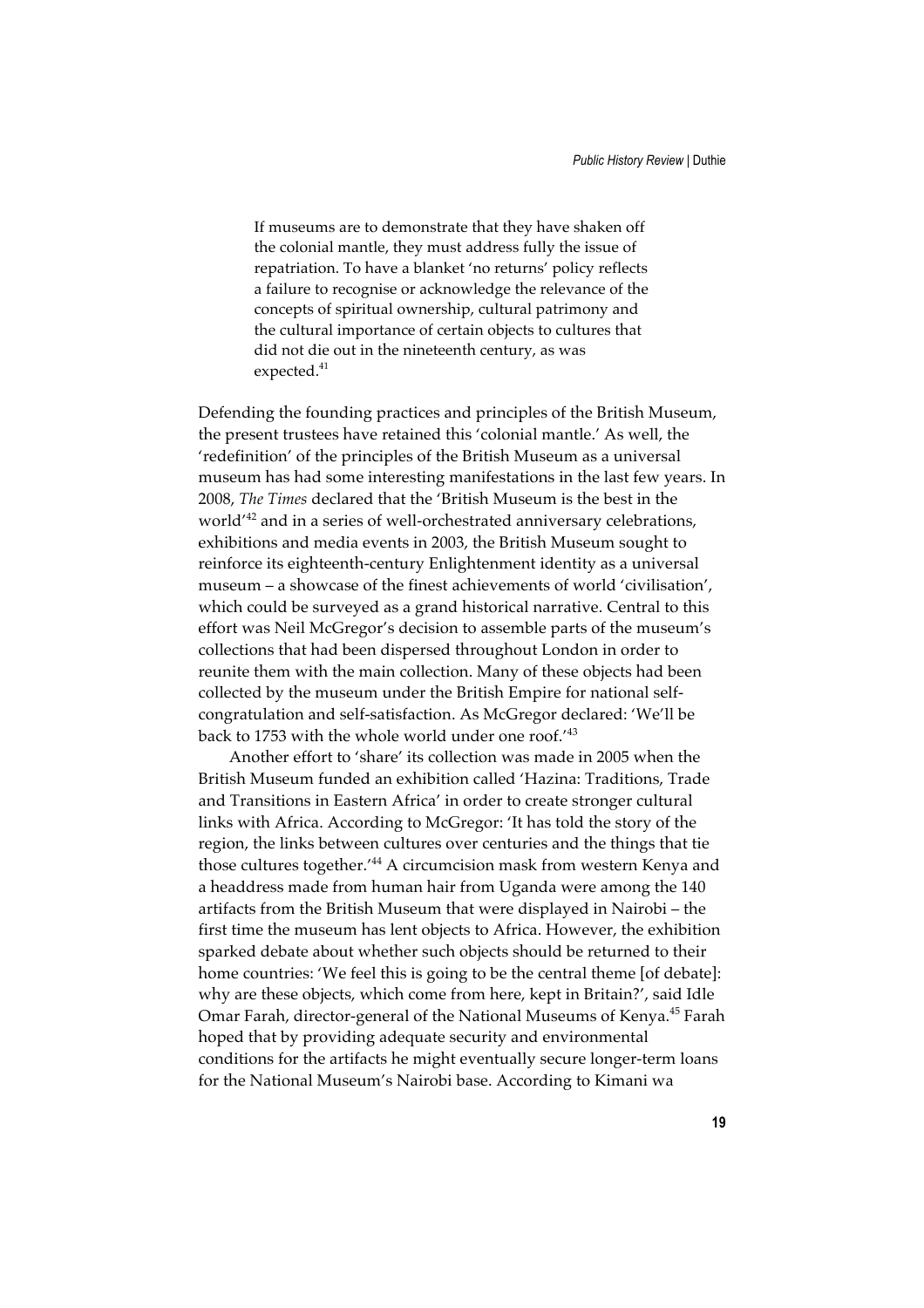If museums are to demonstrate that they have shaken off the colonial mantle, they must address fully the issue of repatriation. To have a blanket 'no returns' policy reflects a failure to recognise or acknowledge the relevance of the concepts of spiritual ownership, cultural patrimony and the cultural importance of certain objects to cultures that did not die out in the nineteenth century, as was expected.<sup>41</sup>

Defending the founding practices and principles of the British Museum, the present trustees have retained this 'colonial mantle.' As well, the 'redefinition' of the principles of the British Museum as a universal museum has had some interesting manifestations in the last few years. In 2008, *The Times* declared that the 'British Museum is the best in the world'42 and in a series of well-orchestrated anniversary celebrations, exhibitions and media events in 2003, the British Museum sought to reinforce its eighteenth-century Enlightenment identity as a universal museum – a showcase of the finest achievements of world 'civilisation', which could be surveyed as a grand historical narrative. Central to this effort was Neil McGregor's decision to assemble parts of the museum's collections that had been dispersed throughout London in order to reunite them with the main collection. Many of these objects had been collected by the museum under the British Empire for national selfcongratulation and self-satisfaction. As McGregor declared: 'We'll be back to 1753 with the whole world under one roof.'<sup>43</sup>

Another effort to 'share' its collection was made in 2005 when the British Museum funded an exhibition called 'Hazina: Traditions, Trade and Transitions in Eastern Africa' in order to create stronger cultural links with Africa. According to McGregor: 'It has told the story of the region, the links between cultures over centuries and the things that tie those cultures together.<sup>'44</sup> A circumcision mask from western Kenya and a headdress made from human hair from Uganda were among the 140 artifacts from the British Museum that were displayed in Nairobi – the first time the museum has lent objects to Africa. However, the exhibition sparked debate about whether such objects should be returned to their home countries: 'We feel this is going to be the central theme [of debate]: why are these objects, which come from here, kept in Britain?', said Idle Omar Farah, director-general of the National Museums of Kenya.45 Farah hoped that by providing adequate security and environmental conditions for the artifacts he might eventually secure longer-term loans for the National Museum's Nairobi base. According to Kimani wa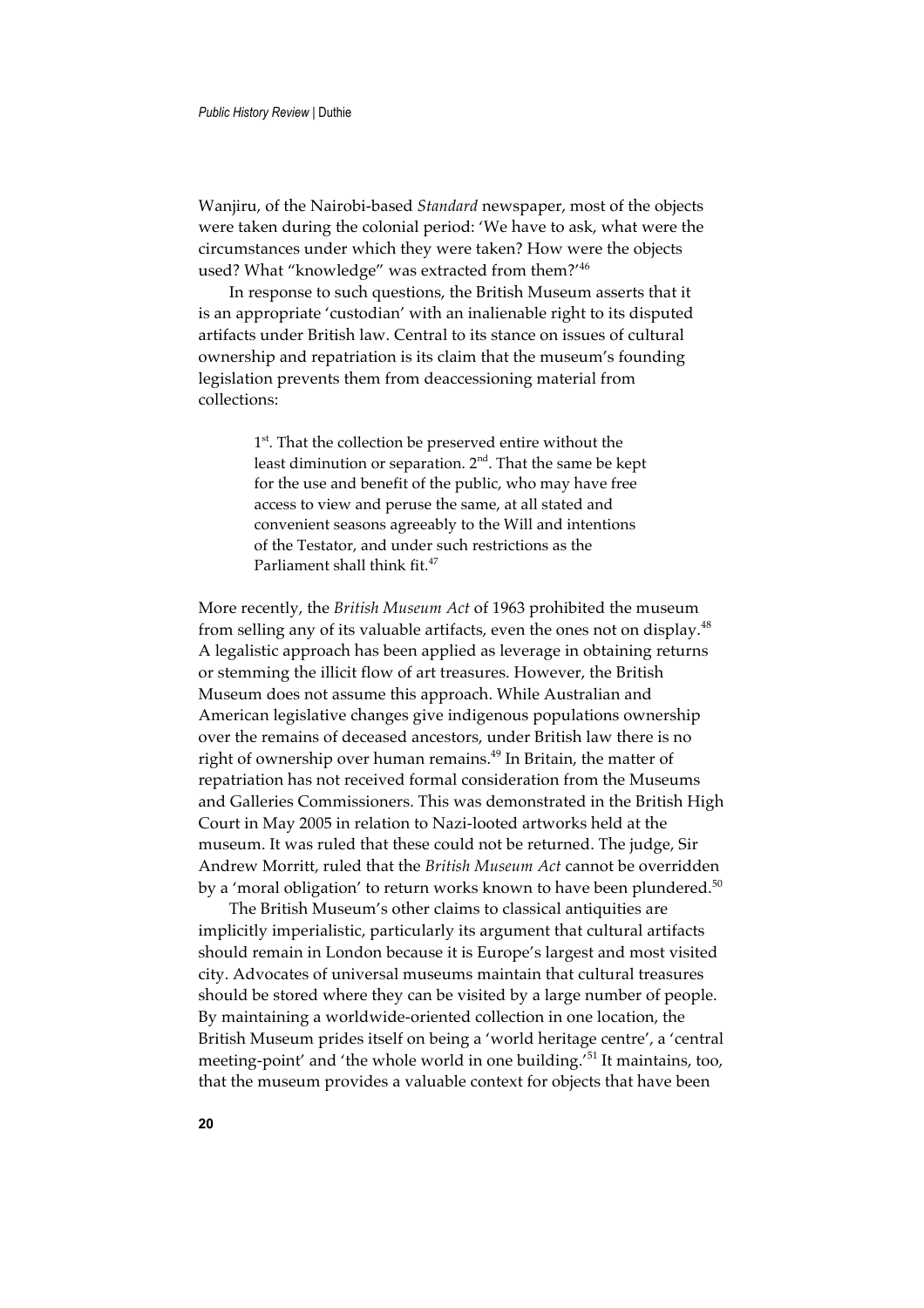Wanjiru, of the Nairobi-based *Standard* newspaper, most of the objects were taken during the colonial period: 'We have to ask, what were the circumstances under which they were taken? How were the objects used? What "knowledge" was extracted from them?'<sup>46</sup>

In response to such questions, the British Museum asserts that it is an appropriate 'custodian' with an inalienable right to its disputed artifacts under British law. Central to its stance on issues of cultural ownership and repatriation is its claim that the museum's founding legislation prevents them from deaccessioning material from collections:

> 1<sup>st</sup>. That the collection be preserved entire without the least diminution or separation. 2<sup>nd</sup>. That the same be kept for the use and benefit of the public, who may have free access to view and peruse the same, at all stated and convenient seasons agreeably to the Will and intentions of the Testator, and under such restrictions as the Parliament shall think fit.<sup>47</sup>

More recently, the *British Museum Act* of 1963 prohibited the museum from selling any of its valuable artifacts, even the ones not on display.<sup>48</sup> A legalistic approach has been applied as leverage in obtaining returns or stemming the illicit flow of art treasures. However, the British Museum does not assume this approach. While Australian and American legislative changes give indigenous populations ownership over the remains of deceased ancestors, under British law there is no right of ownership over human remains.<sup>49</sup> In Britain, the matter of repatriation has not received formal consideration from the Museums and Galleries Commissioners. This was demonstrated in the British High Court in May 2005 in relation to Nazi-looted artworks held at the museum. It was ruled that these could not be returned. The judge, Sir Andrew Morritt, ruled that the *British Museum Act* cannot be overridden by a 'moral obligation' to return works known to have been plundered.<sup>50</sup>

The British Museum's other claims to classical antiquities are implicitly imperialistic, particularly its argument that cultural artifacts should remain in London because it is Europe's largest and most visited city. Advocates of universal museums maintain that cultural treasures should be stored where they can be visited by a large number of people. By maintaining a worldwide-oriented collection in one location, the British Museum prides itself on being a 'world heritage centre', a 'central meeting-point' and 'the whole world in one building.'<sup>51</sup> It maintains, too, that the museum provides a valuable context for objects that have been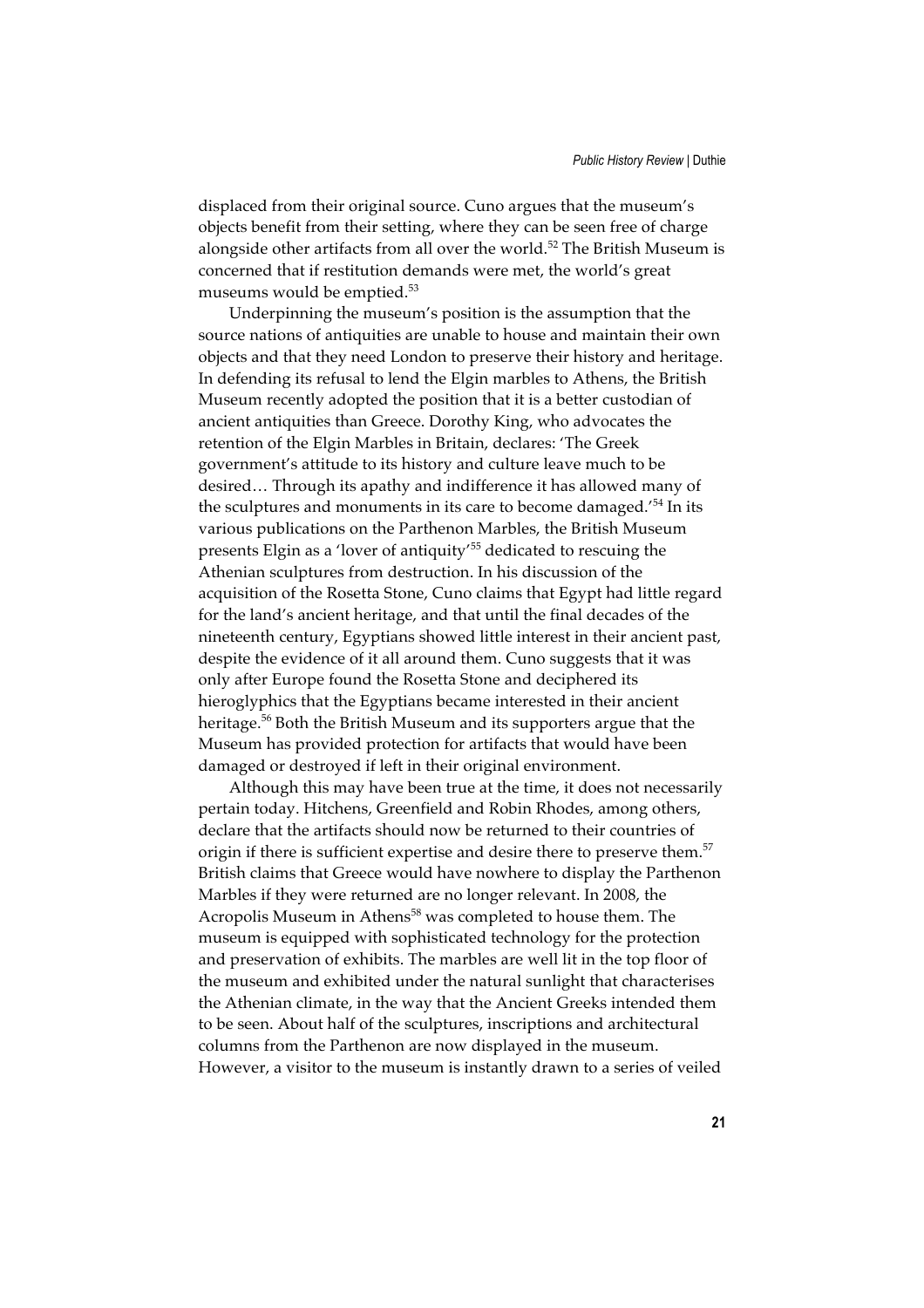displaced from their original source. Cuno argues that the museum's objects benefit from their setting, where they can be seen free of charge alongside other artifacts from all over the world.<sup>52</sup> The British Museum is concerned that if restitution demands were met, the world's great museums would be emptied.<sup>53</sup>

Underpinning the museum's position is the assumption that the source nations of antiquities are unable to house and maintain their own objects and that they need London to preserve their history and heritage. In defending its refusal to lend the Elgin marbles to Athens, the British Museum recently adopted the position that it is a better custodian of ancient antiquities than Greece. Dorothy King, who advocates the retention of the Elgin Marbles in Britain, declares: 'The Greek government's attitude to its history and culture leave much to be desired… Through its apathy and indifference it has allowed many of the sculptures and monuments in its care to become damaged.'54 In its various publications on the Parthenon Marbles, the British Museum presents Elgin as a 'lover of antiquity'55 dedicated to rescuing the Athenian sculptures from destruction. In his discussion of the acquisition of the Rosetta Stone, Cuno claims that Egypt had little regard for the land's ancient heritage, and that until the final decades of the nineteenth century, Egyptians showed little interest in their ancient past, despite the evidence of it all around them. Cuno suggests that it was only after Europe found the Rosetta Stone and deciphered its hieroglyphics that the Egyptians became interested in their ancient heritage.<sup>56</sup> Both the British Museum and its supporters argue that the Museum has provided protection for artifacts that would have been damaged or destroyed if left in their original environment.

Although this may have been true at the time, it does not necessarily pertain today. Hitchens, Greenfield and Robin Rhodes, among others, declare that the artifacts should now be returned to their countries of origin if there is sufficient expertise and desire there to preserve them.<sup>57</sup> British claims that Greece would have nowhere to display the Parthenon Marbles if they were returned are no longer relevant. In 2008, the Acropolis Museum in Athens<sup>58</sup> was completed to house them. The museum is equipped with sophisticated technology for the protection and preservation of exhibits. The marbles are well lit in the top floor of the museum and exhibited under the natural sunlight that characterises the Athenian climate, in the way that the Ancient Greeks intended them to be seen. About half of the sculptures, inscriptions and architectural columns from the Parthenon are now displayed in the museum. However, a visitor to the museum is instantly drawn to a series of veiled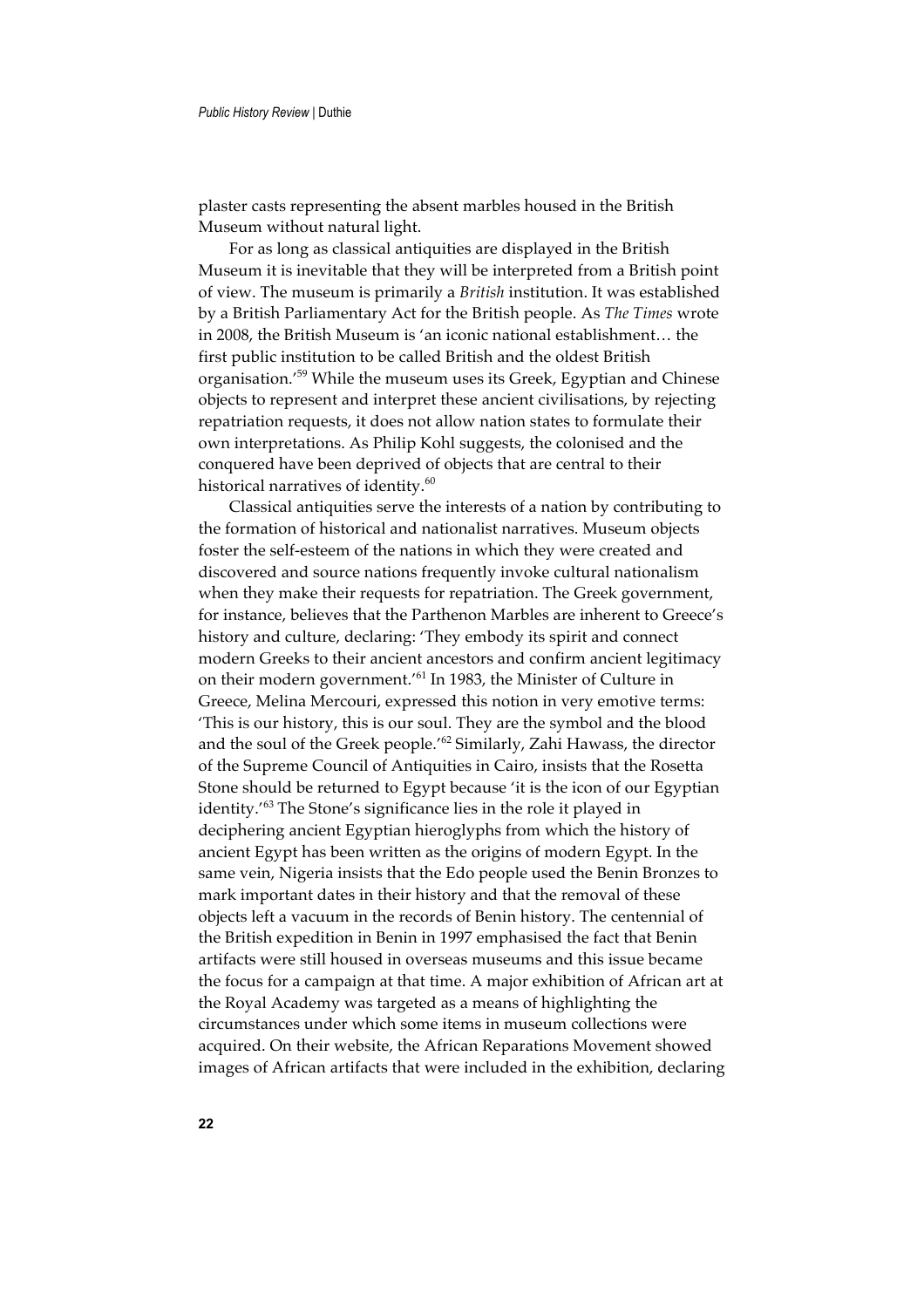plaster casts representing the absent marbles housed in the British Museum without natural light.

For as long as classical antiquities are displayed in the British Museum it is inevitable that they will be interpreted from a British point of view. The museum is primarily a *British* institution. It was established by a British Parliamentary Act for the British people. As *The Times* wrote in 2008, the British Museum is 'an iconic national establishment… the first public institution to be called British and the oldest British organisation.'59 While the museum uses its Greek, Egyptian and Chinese objects to represent and interpret these ancient civilisations, by rejecting repatriation requests, it does not allow nation states to formulate their own interpretations. As Philip Kohl suggests, the colonised and the conquered have been deprived of objects that are central to their historical narratives of identity.<sup>60</sup>

Classical antiquities serve the interests of a nation by contributing to the formation of historical and nationalist narratives. Museum objects foster the self-esteem of the nations in which they were created and discovered and source nations frequently invoke cultural nationalism when they make their requests for repatriation. The Greek government, for instance, believes that the Parthenon Marbles are inherent to Greece's history and culture, declaring: 'They embody its spirit and connect modern Greeks to their ancient ancestors and confirm ancient legitimacy on their modern government.'61 In 1983, the Minister of Culture in Greece, Melina Mercouri, expressed this notion in very emotive terms: 'This is our history, this is our soul. They are the symbol and the blood and the soul of the Greek people.'62 Similarly, Zahi Hawass, the director of the Supreme Council of Antiquities in Cairo, insists that the Rosetta Stone should be returned to Egypt because 'it is the icon of our Egyptian identity.'63 The Stone's significance lies in the role it played in deciphering ancient Egyptian hieroglyphs from which the history of ancient Egypt has been written as the origins of modern Egypt. In the same vein, Nigeria insists that the Edo people used the Benin Bronzes to mark important dates in their history and that the removal of these objects left a vacuum in the records of Benin history. The centennial of the British expedition in Benin in 1997 emphasised the fact that Benin artifacts were still housed in overseas museums and this issue became the focus for a campaign at that time. A major exhibition of African art at the Royal Academy was targeted as a means of highlighting the circumstances under which some items in museum collections were acquired. On their website, the African Reparations Movement showed images of African artifacts that were included in the exhibition, declaring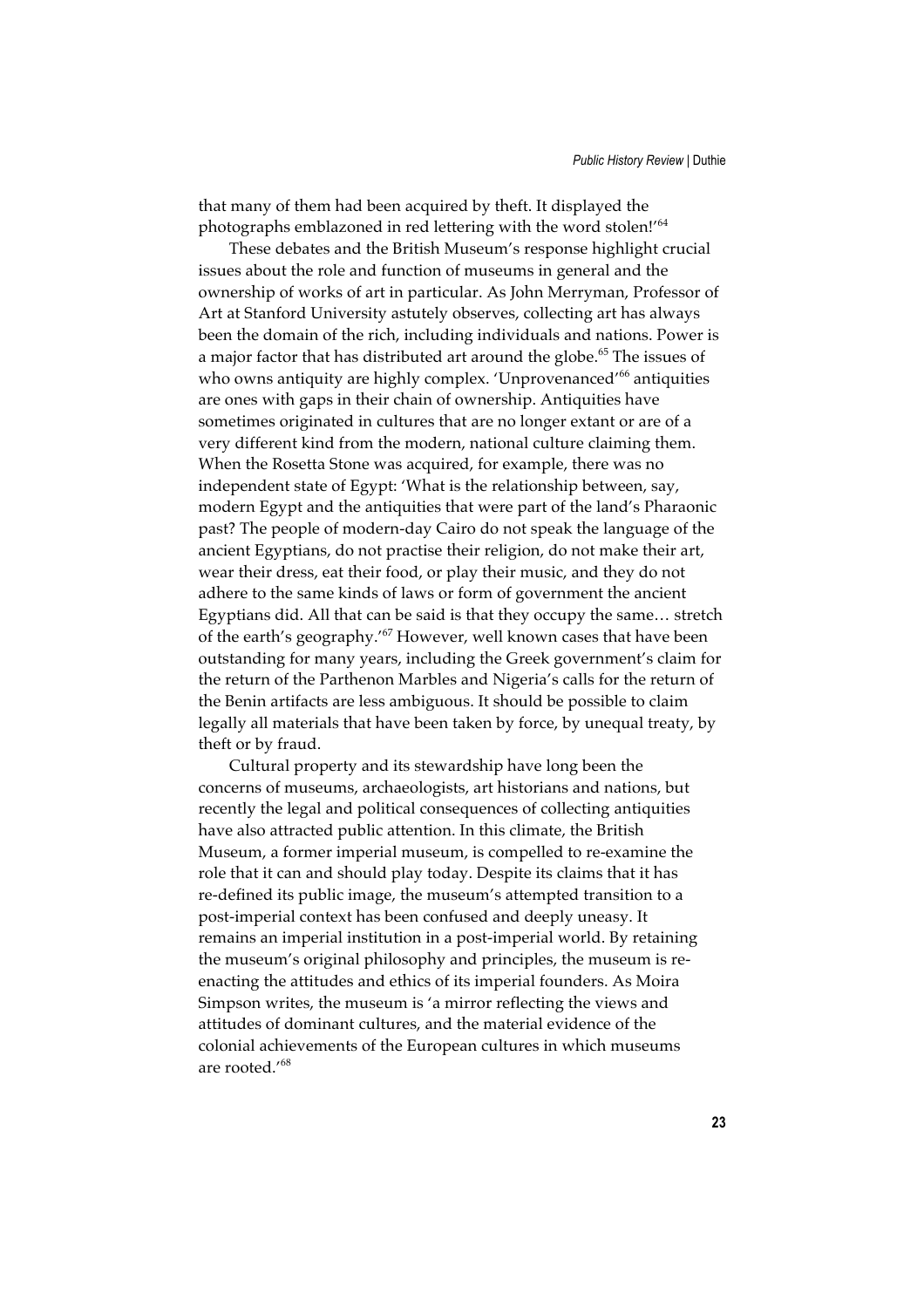that many of them had been acquired by theft. It displayed the photographs emblazoned in red lettering with the word stolen!'<sup>64</sup>

These debates and the British Museum's response highlight crucial issues about the role and function of museums in general and the ownership of works of art in particular. As John Merryman, Professor of Art at Stanford University astutely observes, collecting art has always been the domain of the rich, including individuals and nations. Power is a major factor that has distributed art around the globe.<sup>65</sup> The issues of who owns antiquity are highly complex. 'Unprovenanced'<sup>66</sup> antiquities are ones with gaps in their chain of ownership. Antiquities have sometimes originated in cultures that are no longer extant or are of a very different kind from the modern, national culture claiming them. When the Rosetta Stone was acquired, for example, there was no independent state of Egypt: 'What is the relationship between, say, modern Egypt and the antiquities that were part of the land's Pharaonic past? The people of modern-day Cairo do not speak the language of the ancient Egyptians, do not practise their religion, do not make their art, wear their dress, eat their food, or play their music, and they do not adhere to the same kinds of laws or form of government the ancient Egyptians did. All that can be said is that they occupy the same… stretch of the earth's geography.'<sup>67</sup> However, well known cases that have been outstanding for many years, including the Greek government's claim for the return of the Parthenon Marbles and Nigeria's calls for the return of the Benin artifacts are less ambiguous. It should be possible to claim legally all materials that have been taken by force, by unequal treaty, by theft or by fraud.

Cultural property and its stewardship have long been the concerns of museums, archaeologists, art historians and nations, but recently the legal and political consequences of collecting antiquities have also attracted public attention. In this climate, the British Museum, a former imperial museum, is compelled to re-examine the role that it can and should play today. Despite its claims that it has re-defined its public image, the museum's attempted transition to a post-imperial context has been confused and deeply uneasy. It remains an imperial institution in a post-imperial world. By retaining the museum's original philosophy and principles, the museum is reenacting the attitudes and ethics of its imperial founders. As Moira Simpson writes, the museum is 'a mirror reflecting the views and attitudes of dominant cultures, and the material evidence of the colonial achievements of the European cultures in which museums are rooted.'<sup>68</sup>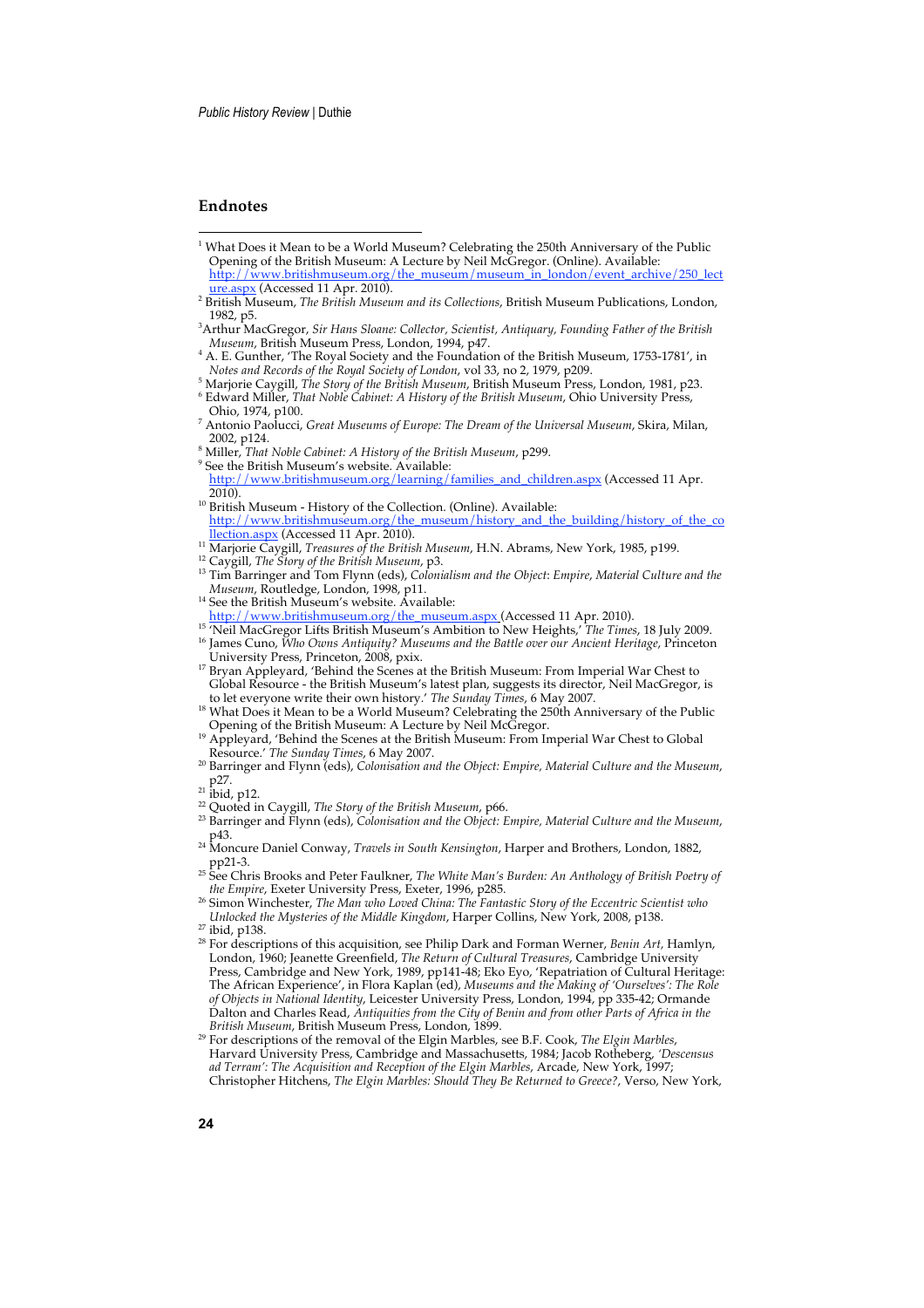## **Endnotes**

- 1 What Does it Mean to be a World Museum? Celebrating the 250th Anniversary of the Public Opening of the British Museum: A Lecture by Neil McGregor. (Online). Available: http://www.britishmuseum.org/the\_museum/museum\_in\_london/event\_archive/250\_lect\_<br><u>ure.aspx</u> (Accessed 11 Apr. 2010).
- <sup>2</sup> British Museum, *The British Museum and its Collections*, British Museum Publications, London, 1982, p5.
- 3 Arthur MacGregor, *Sir Hans Sloane: Collector, Scientist, Antiquary, Founding Father of the British Museum*, British Museum Press, London, 1994, p47. <sup>4</sup>
- <sup>4</sup> A. E. Gunther, 'The Royal Society and the Foundation of the British Museum, 1753-1781', in<br>Notes and Records of the Royal Society of London, vol 33, no 2, 1979, p209.
- <sup>5</sup> Marjorie Caygill, *The Story of the British Museum*, British Museum Press, London, 1981, p23.<br><sup>6</sup> Edward Miller, *That Noble Cabinet: A History of the British Museum*, Ohio University Press,
- Ohio, 1974, p100.
- <sup>7</sup> Antonio Paolucci, *Great Museums of Europe: The Dream of the Universal Museum*, Skira, Milan, 2002, p124.
- <sup>8</sup> Miller, *That Noble Cabinet: A History of the British Museum*, p299.
- 9 See the British Museum's website. Available:
- http://www.britishmuseum.org/learning/families\_and\_children.aspx (Accessed 11 Apr. 2010).
- <sup>10</sup> British Museum History of the Collection. (Online). Available:<br>http://www.britishmuseum.org/the\_museum/history\_and\_th http://www.britishmuseum.org/the\_museum.org/the\_museum/history\_and\_the\_building/history\_of\_the\_co llection.aspx (Accessed 11 Apr. 2010).
- <sup>11</sup> Marjorie Caygill, *Treasures of the British Museum*, H.N. Abrams, New York, 1985, p199.<br><sup>12</sup> Caygill, *The Story of the British Museum*, p3.<br><sup>13</sup> Tim Barringer and Tom Flynn (ods), Colonialism and the Object: Eunice M
- 
- 13 Tim Barringer and Tom Flynn (eds), *Colonialism and the Object*: *Empire*, *Material Culture and the*
- <sup>14</sup> See the British Museum's website. Available:
- http://www.britishmuseum.org/the\_museum.aspx (Accessed 11 Apr. 2010).
- 
- <sup>15</sup> 'Neil MacGregor Lifts British Museum's Ambition to New Heights,' *The Times*, 18 July 2009. 16 James Cuno, *Who Owns Antiquity? Museums and the Battle over our Ancient Heritage*, Princeton University Press, Princeton, 2008, pxix.
- <sup>17</sup> Bryan Appleyard, 'Behind the Scenes at the British Museum: From Imperial War Chest to Global Resource - the British Museum's latest plan, suggests its director, Neil MacGregor, is to let everyone write their own history.' *The Sunday Times*, 6 May 2007.
- 18 What Does it Mean to be a World Museum? Celebrating the 250th Anniversary of the Public<br>Opening of the British Museum: A Lecture by Neil McGregor.
- <sup>19</sup> Appleyard, 'Behind the Scenes at the British Museum: From Imperial War Chest to Global Resource.' The Sunday Times, 6 May 2007.
- <sup>20</sup> Barringer and Flynn (eds), *Colonisation and the Object: Empire, Material Culture and the Museum*, p27.<br>
<sup>21</sup> ibid, p12.
- 
- <sup>22</sup> Quoted in Caygill, *The Story of the British Museum*, p66.
- <sup>23</sup> Barringer and Flynn (eds), *Colonisation and the Object: Empire, Material Culture and the Museum*,
- p43. <sup>24</sup> Moncure Daniel Conway, *Travels in South Kensington*, Harper and Brothers, London, 1882, pp21-3. 25 See Chris Brooks and Peter Faulkner, *The White Man's Burden: An Anthology of British Poetry of*
- *the Empire*, Exeter University Press, Exeter, 1996, p285.
- <sup>26</sup> Simon Winchester, *The Man who Loved China: The Fantastic Story of the Eccentric Scientist who Unlocked the Mysteries of the Middle Kingdom*, Harper Collins, New York, 2008, p138. 27 ibid, p138.
- 28 For descriptions of this acquisition, see Philip Dark and Forman Werner, *Benin Art,* Hamlyn, London, 1960; Jeanette Greenfield, *The Return of Cultural Treasures*, Cambridge University Press, Cambridge and New York, 1989, pp141-48; Eko Eyo, 'Repatriation of Cultural Heritage: The African Experience', in Flora Kaplan (ed), *Museums and the Making of 'Ourselves': The Role of Objects in National Identity*, Leicester University Press, London, 1994, pp 335-42; Ormande Dalton and Charles Read, *Antiquities from the City of Benin and from other Parts of Africa in the British Museum*, British Museum Press, London, 1899.
- 29 For descriptions of the removal of the Elgin Marbles, see B.F. Cook, *The Elgin Marbles*, Harvard University Press, Cambridge and Massachusetts, 1984; Jacob Rotheberg, *'Descensus ad Terram': The Acquisition and Reception of the Elgin Marbles*, Arcade, New York, 1997; Christopher Hitchens, *The Elgin Marbles: Should They Be Returned to Greece?*, Verso, New York,